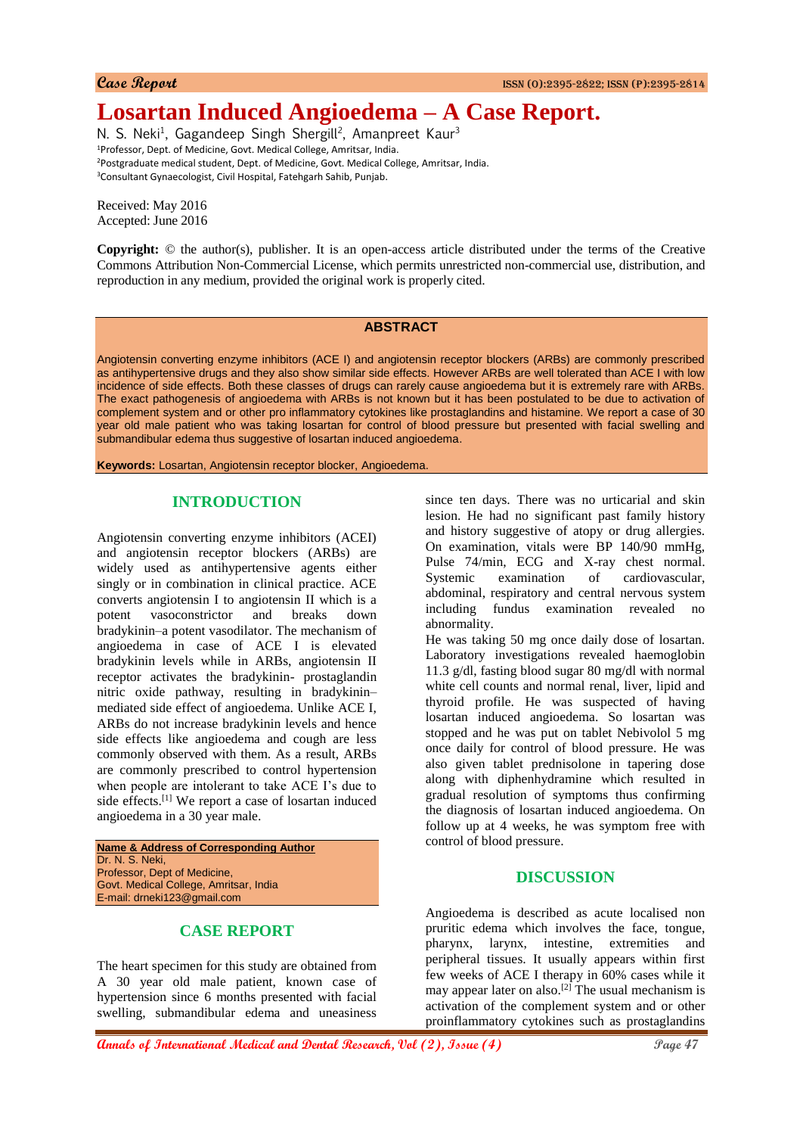# **Losartan Induced Angioedema – A Case Report.**

N. S. Neki<sup>1</sup>, Gagandeep Singh Shergill<sup>2</sup>, Amanpreet Kaur<sup>3</sup> <sup>1</sup>Professor, Dept. of Medicine, Govt. Medical College, Amritsar, India. <sup>2</sup>Postgraduate medical student, Dept. of Medicine, Govt. Medical College, Amritsar, India. <sup>3</sup>Consultant Gynaecologist, Civil Hospital, Fatehgarh Sahib, Punjab.

Received: May 2016 Accepted: June 2016

**Copyright:** © the author(s), publisher. It is an open-access article distributed under the terms of the Creative Commons Attribution Non-Commercial License, which permits unrestricted non-commercial use, distribution, and reproduction in any medium, provided the original work is properly cited.

#### **ABSTRACT**

Angiotensin converting enzyme inhibitors (ACE I) and angiotensin receptor blockers (ARBs) are commonly prescribed as antihypertensive drugs and they also show similar side effects. However ARBs are well tolerated than ACE I with low incidence of side effects. Both these classes of drugs can rarely cause angioedema but it is extremely rare with ARBs. The exact pathogenesis of angioedema with ARBs is not known but it has been postulated to be due to activation of complement system and or other pro inflammatory cytokines like prostaglandins and histamine. We report a case of 30 year old male patient who was taking losartan for control of blood pressure but presented with facial swelling and submandibular edema thus suggestive of losartan induced angioedema.

**Keywords:** Losartan, Angiotensin receptor blocker, Angioedema.

#### **INTRODUCTION**

Angiotensin converting enzyme inhibitors (ACEI) and angiotensin receptor blockers (ARBs) are widely used as antihypertensive agents either singly or in combination in clinical practice. ACE converts angiotensin I to angiotensin II which is a potent vasoconstrictor and breaks down bradykinin–a potent vasodilator. The mechanism of angioedema in case of ACE I is elevated bradykinin levels while in ARBs, angiotensin II receptor activates the bradykinin- prostaglandin nitric oxide pathway, resulting in bradykinin– mediated side effect of angioedema. Unlike ACE I, ARBs do not increase bradykinin levels and hence side effects like angioedema and cough are less commonly observed with them. As a result, ARBs are commonly prescribed to control hypertension when people are intolerant to take ACE I's due to side effects.<sup>[1]</sup> We report a case of losartan induced angioedema in a 30 year male.

**Name & Address of Corresponding Author** Dr. N. S. Neki, Professor, Dept of Medicine, Govt. Medical College, Amritsar, India E-mail: drneki123@gmail.com

# **CASE REPORT**

The heart specimen for this study are obtained from A 30 year old male patient, known case of hypertension since 6 months presented with facial swelling, submandibular edema and uneasiness

since ten days. There was no urticarial and skin lesion. He had no significant past family history and history suggestive of atopy or drug allergies. On examination, vitals were BP 140/90 mmHg, Pulse 74/min, ECG and X-ray chest normal. Systemic examination of cardiovascular, abdominal, respiratory and central nervous system including fundus examination revealed no abnormality.

He was taking 50 mg once daily dose of losartan. Laboratory investigations revealed haemoglobin 11.3 g/dl, fasting blood sugar 80 mg/dl with normal white cell counts and normal renal, liver, lipid and thyroid profile. He was suspected of having losartan induced angioedema. So losartan was stopped and he was put on tablet Nebivolol 5 mg once daily for control of blood pressure. He was also given tablet prednisolone in tapering dose along with diphenhydramine which resulted in gradual resolution of symptoms thus confirming the diagnosis of losartan induced angioedema. On follow up at 4 weeks, he was symptom free with control of blood pressure.

### **DISCUSSION**

Angioedema is described as acute localised non pruritic edema which involves the face, tongue, pharynx, larynx, intestine, extremities and peripheral tissues. It usually appears within first few weeks of ACE I therapy in 60% cases while it may appear later on also.<sup>[2]</sup> The usual mechanism is activation of the complement system and or other proinflammatory cytokines such as prostaglandins